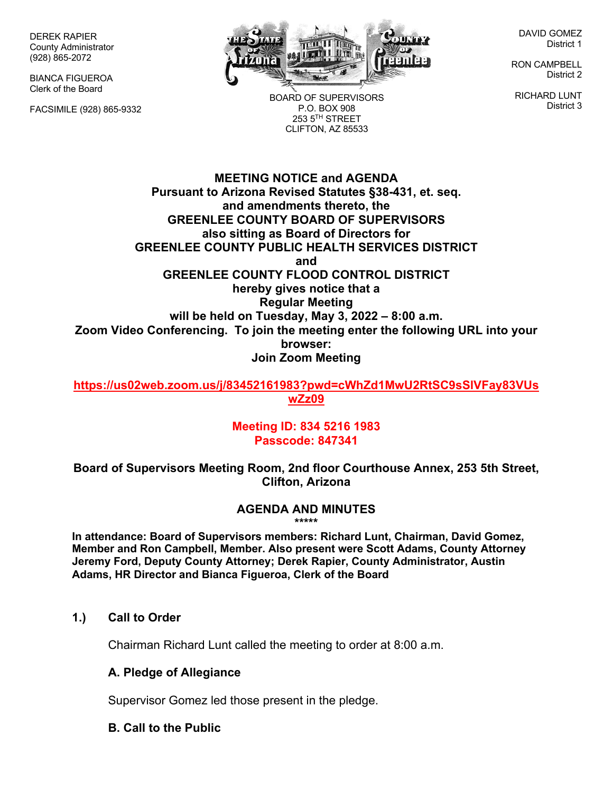DEREK RAPIER County Administrator (928) 865-2072

BIANCA FIGUEROA Clerk of the Board

FACSIMILE (928) 865-9332



BOARD OF SUPERVISORS P.O. BOX 908  $253.5$ <sup>TH</sup> STREET CLIFTON, AZ 85533

DAVID GOMEZ District 1

RON CAMPBELL District 2

RICHARD LUNT District 3

**MEETING NOTICE and AGENDA Pursuant to Arizona Revised Statutes §38-431, et. seq. and amendments thereto, the GREENLEE COUNTY BOARD OF SUPERVISORS also sitting as Board of Directors for GREENLEE COUNTY PUBLIC HEALTH SERVICES DISTRICT and GREENLEE COUNTY FLOOD CONTROL DISTRICT hereby gives notice that a Regular Meeting will be held on Tuesday, May 3, 2022 – 8:00 a.m. Zoom Video Conferencing. To join the meeting enter the following URL into your browser: Join Zoom Meeting** 

**https://us02web.zoom.us/j/83452161983?pwd=cWhZd1MwU2RtSC9sSlVFay83VUs wZz09**

> **Meeting ID: 834 5216 1983 Passcode: 847341**

**Board of Supervisors Meeting Room, 2nd floor Courthouse Annex, 253 5th Street, Clifton, Arizona**

#### **AGENDA AND MINUTES \*\*\*\*\***

**In attendance: Board of Supervisors members: Richard Lunt, Chairman, David Gomez, Member and Ron Campbell, Member. Also present were Scott Adams, County Attorney Jeremy Ford, Deputy County Attorney; Derek Rapier, County Administrator, Austin Adams, HR Director and Bianca Figueroa, Clerk of the Board**

## **1.) Call to Order**

Chairman Richard Lunt called the meeting to order at 8:00 a.m.

## **A. Pledge of Allegiance**

Supervisor Gomez led those present in the pledge.

## **B. Call to the Public**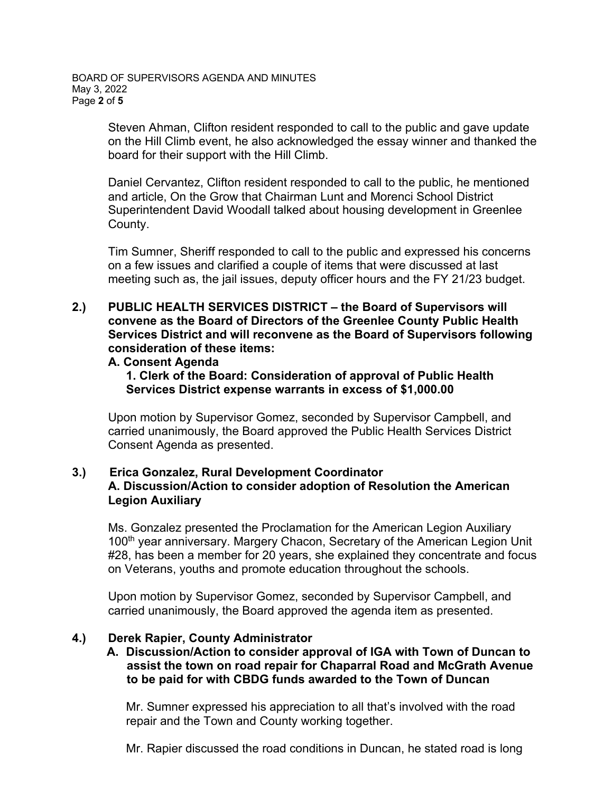BOARD OF SUPERVISORS AGENDA AND MINUTES May 3, 2022 Page **2** of **5**

> Steven Ahman, Clifton resident responded to call to the public and gave update on the Hill Climb event, he also acknowledged the essay winner and thanked the board for their support with the Hill Climb.

Daniel Cervantez, Clifton resident responded to call to the public, he mentioned and article, On the Grow that Chairman Lunt and Morenci School District Superintendent David Woodall talked about housing development in Greenlee County.

Tim Sumner, Sheriff responded to call to the public and expressed his concerns on a few issues and clarified a couple of items that were discussed at last meeting such as, the jail issues, deputy officer hours and the FY 21/23 budget.

## **2.) PUBLIC HEALTH SERVICES DISTRICT – the Board of Supervisors will convene as the Board of Directors of the Greenlee County Public Health Services District and will reconvene as the Board of Supervisors following consideration of these items:**

#### **A. Consent Agenda**

**1. Clerk of the Board: Consideration of approval of Public Health Services District expense warrants in excess of \$1,000.00** 

Upon motion by Supervisor Gomez, seconded by Supervisor Campbell, and carried unanimously, the Board approved the Public Health Services District Consent Agenda as presented.

## **3.) Erica Gonzalez, Rural Development Coordinator A. Discussion/Action to consider adoption of Resolution the American Legion Auxiliary**

Ms. Gonzalez presented the Proclamation for the American Legion Auxiliary 100<sup>th</sup> year anniversary. Margery Chacon, Secretary of the American Legion Unit #28, has been a member for 20 years, she explained they concentrate and focus on Veterans, youths and promote education throughout the schools.

Upon motion by Supervisor Gomez, seconded by Supervisor Campbell, and carried unanimously, the Board approved the agenda item as presented.

### **4.) Derek Rapier, County Administrator**

 **A. Discussion/Action to consider approval of IGA with Town of Duncan to assist the town on road repair for Chaparral Road and McGrath Avenue to be paid for with CBDG funds awarded to the Town of Duncan**

Mr. Sumner expressed his appreciation to all that's involved with the road repair and the Town and County working together.

Mr. Rapier discussed the road conditions in Duncan, he stated road is long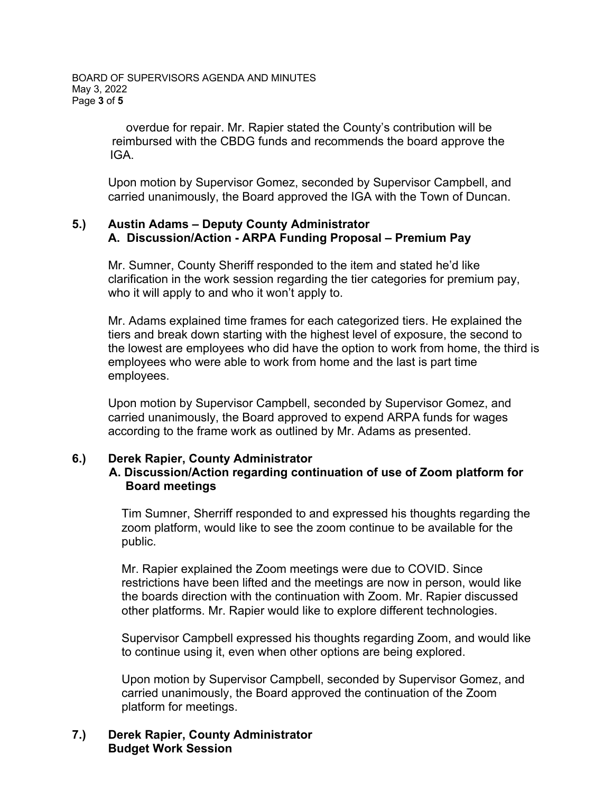overdue for repair. Mr. Rapier stated the County's contribution will be reimbursed with the CBDG funds and recommends the board approve the IGA.

Upon motion by Supervisor Gomez, seconded by Supervisor Campbell, and carried unanimously, the Board approved the IGA with the Town of Duncan.

## **5.) Austin Adams – Deputy County Administrator A. Discussion/Action - ARPA Funding Proposal – Premium Pay**

Mr. Sumner, County Sheriff responded to the item and stated he'd like clarification in the work session regarding the tier categories for premium pay, who it will apply to and who it won't apply to.

Mr. Adams explained time frames for each categorized tiers. He explained the tiers and break down starting with the highest level of exposure, the second to the lowest are employees who did have the option to work from home, the third is employees who were able to work from home and the last is part time employees.

Upon motion by Supervisor Campbell, seconded by Supervisor Gomez, and carried unanimously, the Board approved to expend ARPA funds for wages according to the frame work as outlined by Mr. Adams as presented.

## **6.) Derek Rapier, County Administrator**

## **A. Discussion/Action regarding continuation of use of Zoom platform for Board meetings**

Tim Sumner, Sherriff responded to and expressed his thoughts regarding the zoom platform, would like to see the zoom continue to be available for the public.

Mr. Rapier explained the Zoom meetings were due to COVID. Since restrictions have been lifted and the meetings are now in person, would like the boards direction with the continuation with Zoom. Mr. Rapier discussed other platforms. Mr. Rapier would like to explore different technologies.

Supervisor Campbell expressed his thoughts regarding Zoom, and would like to continue using it, even when other options are being explored.

Upon motion by Supervisor Campbell, seconded by Supervisor Gomez, and carried unanimously, the Board approved the continuation of the Zoom platform for meetings.

### **7.) Derek Rapier, County Administrator Budget Work Session**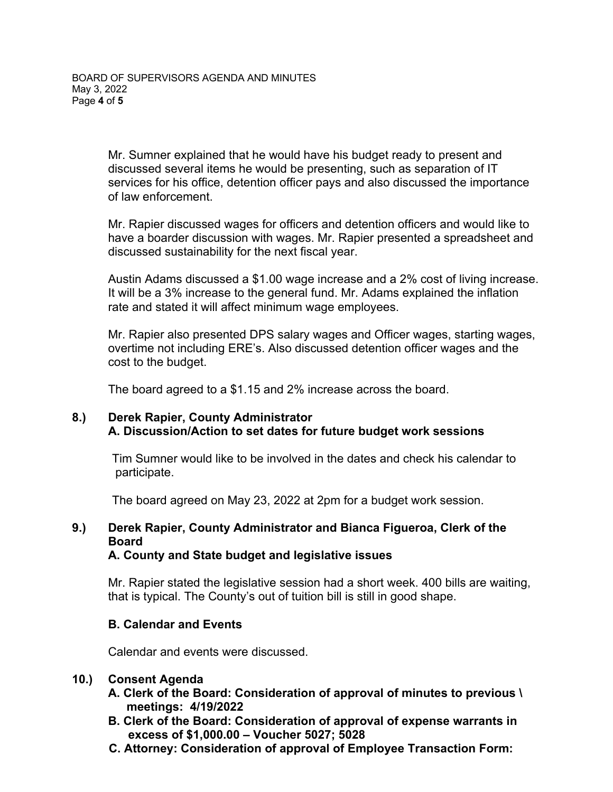Mr. Sumner explained that he would have his budget ready to present and discussed several items he would be presenting, such as separation of IT services for his office, detention officer pays and also discussed the importance of law enforcement.

Mr. Rapier discussed wages for officers and detention officers and would like to have a boarder discussion with wages. Mr. Rapier presented a spreadsheet and discussed sustainability for the next fiscal year.

Austin Adams discussed a \$1.00 wage increase and a 2% cost of living increase. It will be a 3% increase to the general fund. Mr. Adams explained the inflation rate and stated it will affect minimum wage employees.

Mr. Rapier also presented DPS salary wages and Officer wages, starting wages, overtime not including ERE's. Also discussed detention officer wages and the cost to the budget.

The board agreed to a \$1.15 and 2% increase across the board.

#### **8.) Derek Rapier, County Administrator A. Discussion/Action to set dates for future budget work sessions**

Tim Sumner would like to be involved in the dates and check his calendar to participate.

The board agreed on May 23, 2022 at 2pm for a budget work session.

# **9.) Derek Rapier, County Administrator and Bianca Figueroa, Clerk of the Board**

## **A. County and State budget and legislative issues**

Mr. Rapier stated the legislative session had a short week. 400 bills are waiting, that is typical. The County's out of tuition bill is still in good shape.

## **B. Calendar and Events**

Calendar and events were discussed.

#### **10.) Consent Agenda**

- **A. Clerk of the Board: Consideration of approval of minutes to previous \ meetings: 4/19/2022**
- **B. Clerk of the Board: Consideration of approval of expense warrants in excess of \$1,000.00 – Voucher 5027; 5028**
- **C. Attorney: Consideration of approval of Employee Transaction Form:**